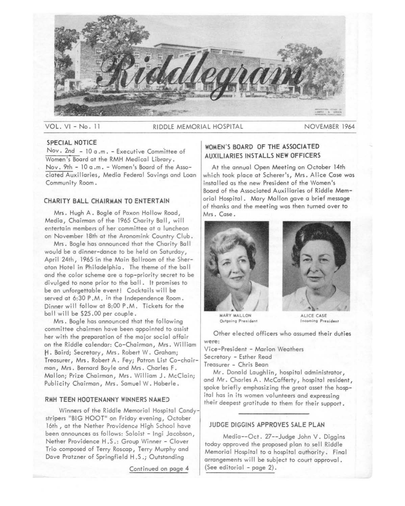

VOL. VI - No. 11 RIDDLE MEMORIAL HOSPITAL NOVEMBER 1964

# **SPECIAL NOTICE**

Nov. 2nd - 10 a .m. - Executive Comm'ittee of Women's Board at the RMH Medical Library. Nov. 9th - 10 a .m. - Women's Board of the Associated Auxiliaries, Media Federal Savings and Loan Community Room.

# **CHARITY BALL CHAIRMAN TO ENTERTAIN**

Mrs. Hugh A. Bogle of Paxon Hollow Road, Media, Chairman of the 1965 Charity Ball, will entertain members of her committee at a luncheon on November 18th at the Aronomink Country Club.

Mrs. Bogle has announced that the Charity Ball would be a dinner-dance to be held on Saturday, April 24th, 1965 in the Main Ballroom of the Sheraton Hotel in Philadelphia. The theme of the ball and the color scheme are a top-priority secret to be divulged to none prior to the ball. It promises to be an unforgettable event! Cocktails will be served at 6:30 P.M. in the Independence Room. Dinner will follow at 8:00 P .M. Tickets for the ball will be \$25.00 per couple.

Mrs. Bogle has announced that the following committee chairmen have been appointed to assist her with the preparation of the major social affair on the Riddle calendar: Co-Chairman, Mrs. William H. Baird; Secretary, Mrs. Robert W. Graham; Treasurer, Mrs. Robert A. Fey; Patron List Co-chairman, Mrs. Bernard Boyle and Mrs. Charles F. Mallon; Prize Chairman, Mrs. William J. McClain; Publicity Chairman, Mrs. Samuel W. Haberle.

#### **RMH TEEN HOOTENANNY WINNERS NAMED**

Winners of the Riddle Memorial Hospital Candystripers "BIG HOOT" on Friday evening, October 16th, at the Nether Providence High School have been announces as follows: Soloist - lngi Jacobson, Nether Providence H.S.: Group Winner - Clover Trio composed of Terry Roscap, Terry Murphy and Dave Pratzner of Springfield H .S .; Outstanding

Continued on page **4** 

# **WOMEN'S BOARD OF THE ASSOCIATED AUXILIARIES INSTALLS NEW OFFICERS**

At the annual Open Meeting on October 14th which took place at Scherer's, Mrs. Alice Case was installed as the new President of the Women's Board of the Associated Auxiliaries of Riddle Memorial Hospital. Mary Mallon gave a brief message of thanks and the meeting was then turned over to Mrs. Case.





MARY MALLON **Outgoing President** 

ALICE CASE **Incoming President** 

Other elected officers who assumed their duties were:

Vice-President - Marion Weathers Secretary - Esther Read Treasurer - Chris Bean

Mr. Donald Laughlin, hospital administrator, and Mr. Charles A. McCafferty, hospital resident, spoke briefly emphasizing the great asset the hospital has in its women volunteers and expressing their deepest gratitude to them for their support.

# **JUDGE DIGGINS APPROVES SALE PLAN**

Media--Oct. 27--Judge John V. Diggins today approved the proposed plan to sell Riddle Memorial Hospital to a hospital authority. Final arrangements will be subject to court approval. (See editorial - page 2).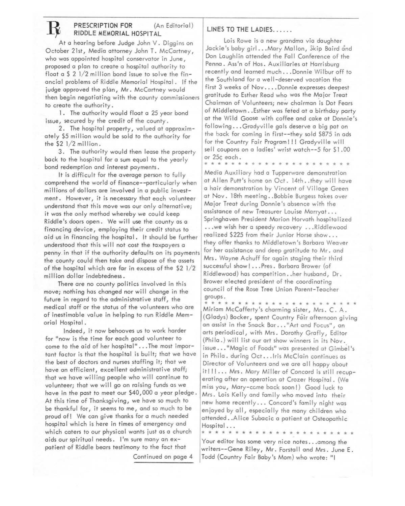# **RESCRIPTION FOR** (An Editorial)

At a hearing before Judge John V. Diggins on October 21st, Media attorney John T. McCartney, who was appointed hospital conservator in June, proposed o pion to create o hospital authority to float a  $\frac{5}{2}$  1/2 million bond issue to solve the financial problems of Riddle Memorial Hospital. If the judge approved the plan, Mr. McCartney would then begin negotiating with the county commissioners to create the authority.

1. The authority would float a 25 year bond issue, secured by the credit of the county.

2. The hospital property, valued ot approximately \$5 million would be sold to the authority for the \$2 1/2 million.

3. The authority would then lease the property bock to the hospital for o sum equal to the yearly bond redemption and interest payments.

It is difficult for the overage person to fully comprehend the world of finance--particularly when millions of dollars ore involved in o public investment. However, it is necessary that each volunteer understand that this move was our only alternative; it was the only method whereby we could keep Riddle's doors open. We will use the county os o financing device, employing their credit status to aid us in financing the hospital. It should be further understood that this will not cost the taxpayers a penny in that if the authority defaults on its payments the county could then take and dispose of the assets of the hospital which ore for in excess of the \$2 1/2 million dollar indebtedness.

There are no county politics involved in this move; nothing hos changed nor will change in the future in regard to the administrative staff, the medical staff or the status of the volunteers who are of inestimable value in helping to run Riddle Memorial Hospital.

Indeed, it now behooves us to work harder for "now is the time for each good volunteer to come to the aid of her hospital" ... The most important factor is that the hospital is built; that we have the best of doctors and nurses staffing it; that we hove an efficient, excellent administrative staff; that we hove willing people who will continue to volunteer; that we will go on raising funds as we have in the past to meet our \$40,000 a year pledge. At this time of Thanksgiving, we have so much to be thankful for, it seems to me, and so much to be proud of! We can give thanks for a much needed hospital which is here in times of emergency and which caters to our physical wants just as a church aids our spiritual needs. I'm sure many an expatient of Riddle bears testimony to the fact that

Continued on page 4

# LINES TO THE LADIES......

Lois Rowe is a new grandma via daughter Jackie's baby girl ... Mary Mallon, Skip Baird and Don Laughlin attended the Fall Conference of the Penna. Ass'n of Hos. Auxiliaries ot Harrisburg recently and learned much ... Donnie Wilbur off to the Southland for a well-deserved vacation the first 3 weeks of Nov....Donnie expresses deepest gratitude to Esther Read who was the Major Treat Chairman of Volunteers; new chairman is Dot Fears of Middletown .. Esther was feted at o birthday party ot the Wild Goose with coffee and cake at Donnie's following ... Gradyville gals deserve o big pat on the bock for coming in first--they sold \$875 in ads for the Country Fair Program!!! Gradyville will sell coupons on a ladies' wrist watch--5 for \$1.00 or 25¢ each.

\* \* \* \* \* \* \* \* \* \* \* \* \* \* \* \* \* \* \* \* \* \* Media Auxiliary had a Tupperware demonstration at Allen Putt's home on Oct. 14th .. they will hove o hair demonstration by Vincent of Village Green ot Nov. 18th meeting .. Bobbie Burgess tokes over Major Treat during Donnie's absence with the assistance of new Treasurer Louise Marryat ... Springhaven President Marion Horvath hospitalized ... we wish her a speedy recovery ... Riddlewood realized \$225 from their Junior Horse show... they offer thanks to Middletown's Barbaro Weaver for her assistance and deep gratitude to Mr. and Mrs. Wayne Achuff for again staging their third successful show! ... Pres. Barbaro Brower (of Riddlewood) has competition .. her husband, Dr. Brower elected president of the coordinating council of the Rose Tree Union Parent-Teacher groups.<br>\* \* \* \*

\* \* \* \* \* \* \* \* \* \* \* \* \* \* \* \* \* \* \* \* \* \* \* Miriam McCofferty's charming sister, Mrs. C. A. (Gladys) Bocker, spent Country Fair afternoon giving on assist in the Snock Bar ... "Art and Focus", an arts periodical, with Mrs. Dorothy Grafly, Editor (Phila.) will list our art show winners in its Nov. issue..."Magic of Foods" was presented at Gimbel's in Philo. during Oct ... Iris McClain continues os Director of Volunteers and we ore oil happy about it! !!... Mrs. Mary Miller of Concord is still recuperating after an operation at Crozer Hospital. (We miss you, Mory-ccme back soon!) Good luck to Mrs. Lois Kelly and family who moved into their new home recently ... Concord's family night was enjoyed by all, especially the many children who attended .. Alice Subacic o patient ot Osteopathic Hospital ...

\* \* \* \* \* \* \* \* \* \* \* \* \* \* \* \* \* \* \* \* \* \* \* Your editor has some very nice notes ... among the writers--Gene Riley, Mr. Forstoll and Mrs. June E. Todd (Country Fair Baby's Mom) who wrote: "I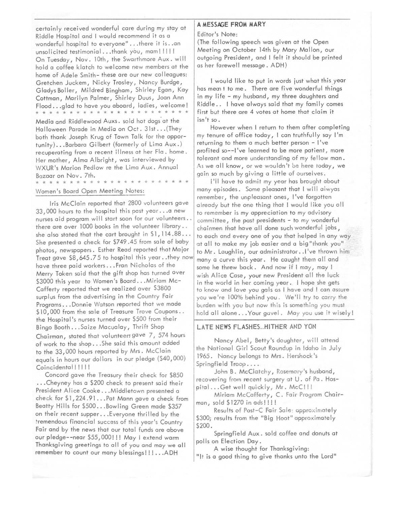certainly received wonderful care during my stay at Riddle Hospital and I would recommend it as a wonderful hospital to everyone" ... there it is .. an unsolicited testimonial ... thank you, mam!!!!! On Tuesday, Nov. 10th, the Swarthmore Aux. will hold a coffee klatch to welcome new members at the home of Adele Smith- these are our new colleagues: Gretchen Juckem, Nicky Trosley, Nancy Burdge, Gladys Boller, Mildred Bingham, Shirley Egan, Kay Cottman, Marilyn Palmer, Shirley Duus, Joan Ann Flood ... glad to have you aboard, ladies, welcome! \* \* \* \* \* \* \* \* \* \* \* \* \* \* \* \* \* \* \* \* \* \* \* Media and Riddlewood Auxs. sold hot dogs at the Halloween Parade in Media on Oct. 31st ... (They both thank Joseph Krug of Town Talk for the opportunity) ... Barbara Gilbert (formerly of Lima Aux.) recuperating from a recent illness at her Fla. home. Her mother, Alma Albright, was interviewed by WXUR 's Marion Pedlow re the Lima Aux. Annual Bazaar on Nov. 7th.

# \* \* \* \* \* \* \* \* \* Women's Board Open Meeting Notes:

Iris McClain reported that 2800 volunteers gave 33,000 hours to the hospital this past year ... a new nurses aid program will start soon for our volunteers .. there are over 1000 books in the volunteer library .. she also stated that the cart brought in \$1,114.88 ... She presented a check for \$749 .45 from sale of baby photos, newspapers. Esther Read reported that Major Treat gave \$8,645.75 to hospital this year .. they now have three paid workers ... Fran Nicholas of the Merry Token said that the gift shop has turned over \$3000 this year to Women's Board ... Miriam Mc-Cafferty reported that we realized over S3800 surplus from the advertising in the Country Fair Programs ... Donnie Watson reported that we made \$10,000 from the sale of Treasure Trove Coupons.. the Hospital's nurses turned over \$500 from their Bingo Booth ... Saize Macualay, Thrift Shop Chairman, stated that volunteers gave 7, 574 hours of work to the shop ... She said this amount added to the 33,000 hours reported by Mrs. McClain equals in hours our dollars in our pledge (\$40,000) Coincidental!!!!!

Concord gave the Treasury their check for \$850 ..• Cheyney has a \$200 check to present said their President Alice Cooke ... Middletown presented a check for \$1,224.91...Pat Mann gave a check from Beatty Hills for \$500 ... Bowling Green made \$357 on their recent supper ... Everyone thrilled by the tremendous financial success of this year's Country Fair and by the news that our total funds are above our pledge--near \$55,000!!! May I extend warm Thanksgiving greetings to all of you and may we all remember to count our many blessings!!! ... ADH

#### **A MESSAGE FROM MARY**

Editor's Note:

(The following speech was given at the Open Meeting on October 14th by Mary Mallon, our outgoing President, and I felt it should be printed as her farewell message. ADH)

I would like to put in words just what this year has mean t to me. There are five wonderful things in my life - my husband, my three daughters and Riddle .. I have always said that my family comes first but there are 4 votes at home that claim it isn't so.

However when I return to them after completing my tenure of office today, I can truthfully say I'm returning to them a much better person - I've profited so--1 've learned to be more patient, more tolerant and more understanding of my fellow man. As we all know, or we wouldn't be here today, we gain so much by giving a little of ourselves.

I'll have to admit my year has brought about many episodes. Some pleasant that I will alwyas remember, the unpleasant ones, I've forgotten aireody but the one thing that I would like you all to remember is my appreciation to my advisory committee, the past presidents - to my wonderful chairmen that hove all done such wonderful jobs, to each and every one of you that helped in any way at all to make my job easier and a big"thank you" to Mr. Loughlin, our administrator .. I've thrown him many a curve this year. He caught them all and some he threw bock. And now if I may, may I wish Alice Case, your new President all the luck in the world in her coming year. I hope she gets to know and love you gals as I have and I can assure you we're 100% behind you. We'll try to carry the burden with you but now this is something you must hold all alone ... Your gavel. May you use it wisely!

#### **LATE NEWS FLASHES .. HITHER AND YON**

Nancy Abel, Betty's daughter, will attend the National Girl Scout Roundup in Idaho in July 1965. Nancy belongs to Mrs. Hershock 's Springfield Troop ....

John B. McClatchy, Rosemory 's husband, recovering frorn recent surgery at U. of Po. Hospital...Get well quickly, Mr. McC!!!

Miriam McCafferty, C. Fair Program Chairman, sold \$1270 in ads!!!!

Results of Post-C Fair Sale: approximately \$300; results from the "Big Hoot" approximately \$200.

Springfield Aux. sold coffee and donuts at polls on Election Day.

A wise thought for Thanksgiving:

"It is a good thing to give thanks unto the Lord"